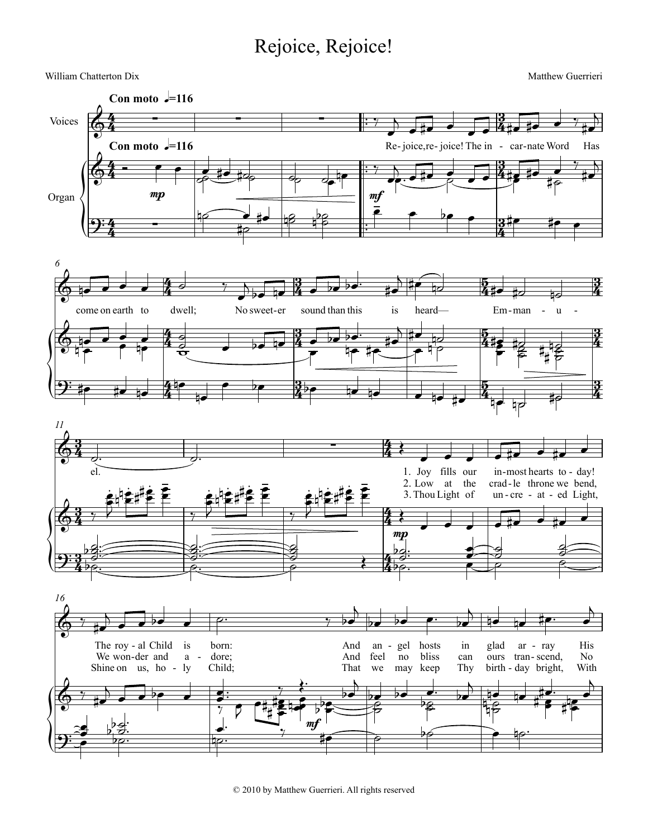## Rejoice, Rejoice!



© 2010 by Matthew Guerrieri. All rights reserved